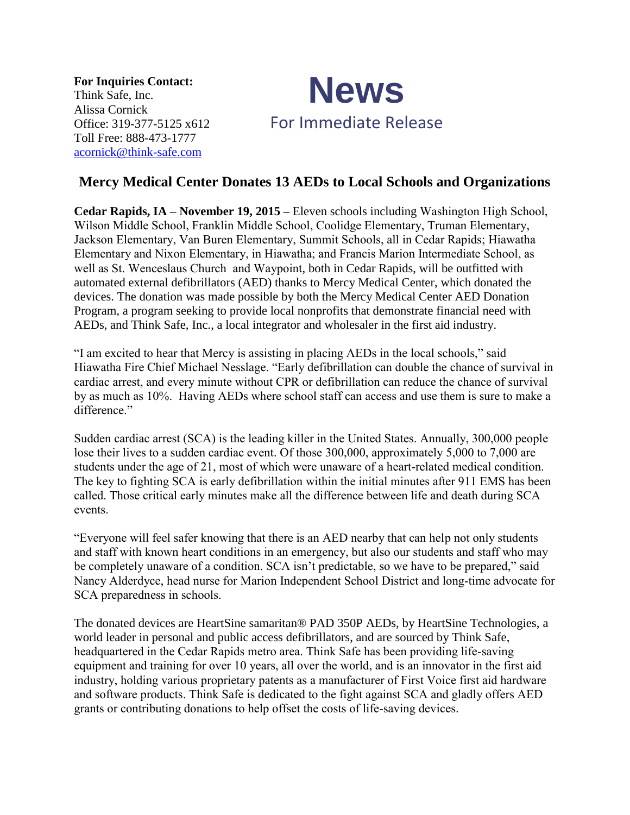**For Inquiries Contact:** Think Safe, Inc. Alissa Cornick Office: 319-377-5125 x612 Toll Free: 888-473-1777 [acornick@think-safe.com](mailto:acornick@think-safe.com)



## **Mercy Medical Center Donates 13 AEDs to Local Schools and Organizations**

**Cedar Rapids, IA – November 19, 2015 –** Eleven schools including Washington High School, Wilson Middle School, Franklin Middle School, Coolidge Elementary, Truman Elementary, Jackson Elementary, Van Buren Elementary, Summit Schools, all in Cedar Rapids; Hiawatha Elementary and Nixon Elementary, in Hiawatha; and Francis Marion Intermediate School, as well as St. Wenceslaus Church and Waypoint, both in Cedar Rapids, will be outfitted with automated external defibrillators (AED) thanks to Mercy Medical Center, which donated the devices. The donation was made possible by both the Mercy Medical Center AED Donation Program, a program seeking to provide local nonprofits that demonstrate financial need with AEDs, and Think Safe, Inc., a local integrator and wholesaler in the first aid industry.

"I am excited to hear that Mercy is assisting in placing AEDs in the local schools," said Hiawatha Fire Chief Michael Nesslage. "Early defibrillation can double the chance of survival in cardiac arrest, and every minute without CPR or defibrillation can reduce the chance of survival by as much as 10%. Having AEDs where school staff can access and use them is sure to make a difference."

Sudden cardiac arrest (SCA) is the leading killer in the United States. Annually, 300,000 people lose their lives to a sudden cardiac event. Of those 300,000, approximately 5,000 to 7,000 are students under the age of 21, most of which were unaware of a heart-related medical condition. The key to fighting SCA is early defibrillation within the initial minutes after 911 EMS has been called. Those critical early minutes make all the difference between life and death during SCA events.

"Everyone will feel safer knowing that there is an AED nearby that can help not only students and staff with known heart conditions in an emergency, but also our students and staff who may be completely unaware of a condition. SCA isn't predictable, so we have to be prepared," said Nancy Alderdyce, head nurse for Marion Independent School District and long-time advocate for SCA preparedness in schools.

The donated devices are HeartSine samaritan® PAD 350P AEDs, by HeartSine Technologies, a world leader in personal and public access defibrillators, and are sourced by Think Safe, headquartered in the Cedar Rapids metro area. Think Safe has been providing life-saving equipment and training for over 10 years, all over the world, and is an innovator in the first aid industry, holding various proprietary patents as a manufacturer of First Voice first aid hardware and software products. Think Safe is dedicated to the fight against SCA and gladly offers AED grants or contributing donations to help offset the costs of life-saving devices.